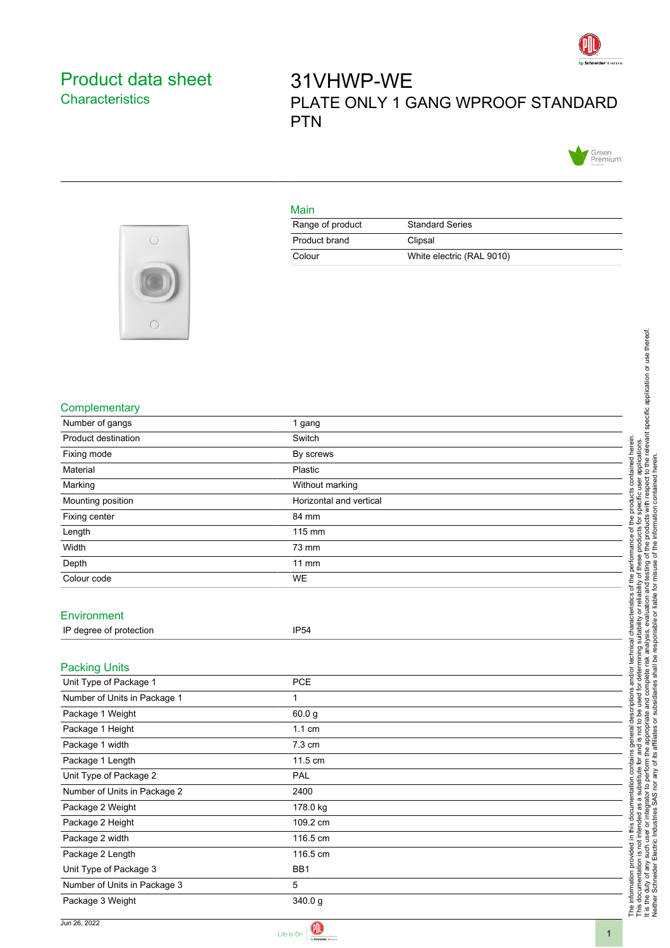

## <span id="page-0-0"></span>Product data sheet **Characteristics**

# 31VHWP-WE PLATE ONLY 1 GANG WPROOF STANDARD PTN



#### Main

| Range of product | <b>Standard Series</b>    |
|------------------|---------------------------|
| Product brand    | Clipsal                   |
| Colour           | White electric (RAL 9010) |



#### **Complementary**

| $\sim$                       |                         |                                                                                                                                                                                                                                      |
|------------------------------|-------------------------|--------------------------------------------------------------------------------------------------------------------------------------------------------------------------------------------------------------------------------------|
|                              |                         |                                                                                                                                                                                                                                      |
|                              |                         |                                                                                                                                                                                                                                      |
|                              |                         |                                                                                                                                                                                                                                      |
|                              |                         |                                                                                                                                                                                                                                      |
| Complementary                |                         |                                                                                                                                                                                                                                      |
| Number of gangs              | 1 gang                  |                                                                                                                                                                                                                                      |
| Product destination          | Switch                  | determining suitability or reliability of these products for specific user applications.<br>Interior and the readysis, even utility of the subset of the information of the relevant specific application o<br>Interior and the read |
| Fixing mode                  | By screws               | contained herein                                                                                                                                                                                                                     |
| Material                     | Plastic                 |                                                                                                                                                                                                                                      |
| Marking                      | Without marking         |                                                                                                                                                                                                                                      |
| Mounting position            | Horizontal and vertical | products                                                                                                                                                                                                                             |
| Fixing center                | 84 mm                   |                                                                                                                                                                                                                                      |
| Length                       | 115 mm                  | of the                                                                                                                                                                                                                               |
| Width                        | 73 mm                   | performance                                                                                                                                                                                                                          |
| Depth                        | $11$ mm                 |                                                                                                                                                                                                                                      |
| Colour code                  | <b>WE</b>               | the                                                                                                                                                                                                                                  |
|                              |                         | ৳                                                                                                                                                                                                                                    |
| Environment                  |                         | acteristics                                                                                                                                                                                                                          |
| IP degree of protection      | <b>IP54</b>             | char                                                                                                                                                                                                                                 |
|                              |                         |                                                                                                                                                                                                                                      |
|                              |                         | technical                                                                                                                                                                                                                            |
| <b>Packing Units</b>         |                         | and/or                                                                                                                                                                                                                               |
| Unit Type of Package 1       | PCE                     | complete risk<br>U,                                                                                                                                                                                                                  |
| Number of Units in Package 1 | $\mathbf{1}$            | subsidiaries<br>iption<br>used<br>and                                                                                                                                                                                                |
| Package 1 Weight             | 60.0 g                  | descr<br><b>Sc</b><br>$\overline{e}$                                                                                                                                                                                                 |
| Package 1 Height             | $1.1 \text{ cm}$        |                                                                                                                                                                                                                                      |
| Package 1 width              | 7.3 cm                  |                                                                                                                                                                                                                                      |
| Package 1 Length             | 11.5 cm                 |                                                                                                                                                                                                                                      |
| Unit Type of Package 2       | PAL                     |                                                                                                                                                                                                                                      |
| Number of Units in Package 2 | 2400                    |                                                                                                                                                                                                                                      |
| Package 2 Weight             | 178.0 kg                |                                                                                                                                                                                                                                      |
| Package 2 Height             | 109.2 cm                |                                                                                                                                                                                                                                      |
| Package 2 width              | 116.5 cm                | The information provided in this documentation contains general derivation contains and the security of the state of the state of the state of the state of the state of the state of the Network of the Network of the Networ       |
| Package 2 Length             | 116.5 cm                |                                                                                                                                                                                                                                      |
| Unit Type of Package 3       | BB1                     |                                                                                                                                                                                                                                      |
| Number of Units in Package 3 | 5                       |                                                                                                                                                                                                                                      |
| Package 3 Weight             | 340.0g                  |                                                                                                                                                                                                                                      |
|                              |                         |                                                                                                                                                                                                                                      |